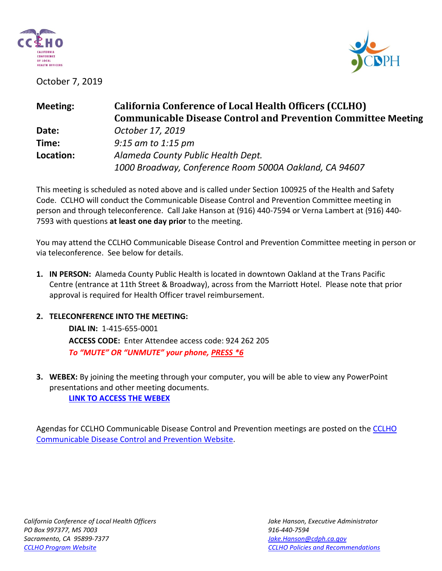

October 7, 2019



| <b>California Conference of Local Health Officers (CCLHO)</b><br><b>Communicable Disease Control and Prevention Committee Meeting</b> |
|---------------------------------------------------------------------------------------------------------------------------------------|
| October 17, 2019                                                                                                                      |
| $9:15$ am to 1:15 pm                                                                                                                  |
| Alameda County Public Health Dept.<br>1000 Broadway, Conference Room 5000A Oakland, CA 94607                                          |
|                                                                                                                                       |

This meeting is scheduled as noted above and is called under Section 100925 of the Health and Safety Code. CCLHO will conduct the Communicable Disease Control and Prevention Committee meeting in person and through teleconference. Call Jake Hanson at (916) 440-7594 or Verna Lambert at (916) 440- 7593 with questions **at least one day prior** to the meeting.

You may attend the CCLHO Communicable Disease Control and Prevention Committee meeting in person or via teleconference. See below for details.

- **1. IN PERSON:** Alameda County Public Health is located in downtown Oakland at the Trans Pacific Centre (entrance at 11th Street & Broadway), across from the Marriott Hotel. Please note that prior approval is required for Health Officer travel reimbursement.
- **2. TELECONFERENCE INTO THE MEETING:**

**DIAL IN:** 1-415-655-0001 **ACCESS CODE:** Enter Attendee access code: 924 262 205 *To "MUTE" OR "UNMUTE" your phone, PRESS \*6*

**3. WEBEX:** By joining the meeting through your computer, you will be able to view any PowerPoint presentations and other meeting documents.

**[LINK TO ACCESS THE WEBEX](https://cdph-conf.webex.com/cdph-conf/j.php?MTID=m78474fba262c91e449c9946b1787dfcf)**

Agendas for CCLHO Communicable Disease Control and Prevention meetings are posted on the CCLHO [Communicable Disease Control and Prevention Website.](https://www.cdph.ca.gov/Programs/CCLHO/Pages/CommunicableDiseaseControlAndPrevention.aspx)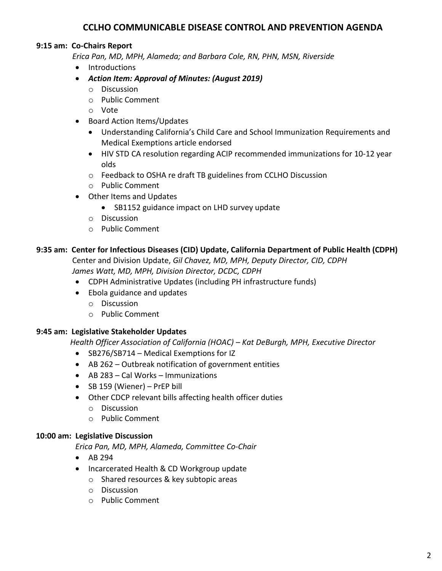# **CCLHO COMMUNICABLE DISEASE CONTROL AND PREVENTION AGENDA**

## **9:15 am: Co-Chairs Report**

 *Erica Pan, MD, MPH, Alameda; and Barbara Cole, RN, PHN, MSN, Riverside*

- Introductions
- *Action Item: Approval of Minutes: (August 2019)*
	- o Discussion
	- o Public Comment
	- o Vote
- Board Action Items/Updates
	- Understanding California's Child Care and School Immunization Requirements and Medical Exemptions article endorsed
	- HIV STD CA resolution regarding ACIP recommended immunizations for 10-12 year olds
	- o Feedback to OSHA re draft TB guidelines from CCLHO Discussion
	- o Public Comment
- Other Items and Updates
	- SB1152 guidance impact on LHD survey update
	- o Discussion
	- o Public Comment

## **9:35 am: Center for Infectious Diseases (CID) Update, California Department of Public Health (CDPH)**

 Center and Division Update, *Gil Chavez, MD, MPH, Deputy Director, CID, CDPH James Watt, MD, MPH, Division Director, DCDC, CDPH*

- CDPH Administrative Updates (including PH infrastructure funds)
- Ebola guidance and updates
	- o Discussion
	- o Public Comment

## **9:45 am: Legislative Stakeholder Updates**

 *Health Officer Association of California (HOAC) – Kat DeBurgh, MPH, Executive Director*

- SB276/SB714 Medical Exemptions for IZ
- AB 262 Outbreak notification of government entities
- AB 283 Cal Works Immunizations
- SB 159 (Wiener) PrEP bill
- Other CDCP relevant bills affecting health officer duties
	- o Discussion
	- o Public Comment

## **10:00 am: Legislative Discussion**

*Erica Pan, MD, MPH, Alameda, Committee Co-Chair*

- AB 294
- Incarcerated Health & CD Workgroup update
	- o Shared resources & key subtopic areas
	- o Discussion
	- o Public Comment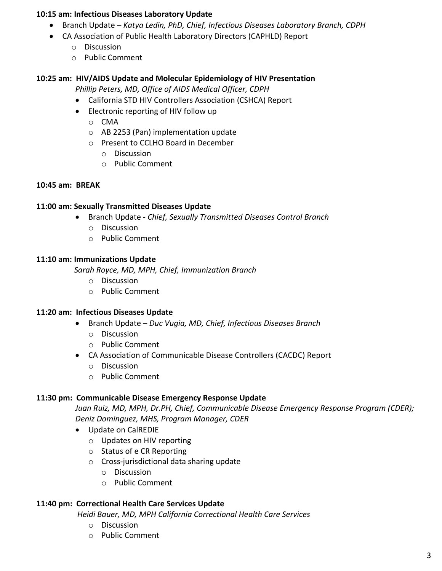### **10:15 am: Infectious Diseases Laboratory Update**

- Branch Update *Katya Ledin, PhD, Chief, Infectious Diseases Laboratory Branch, CDPH*
- CA Association of Public Health Laboratory Directors (CAPHLD) Report
	- o Discussion
	- o Public Comment

### **10:25 am: HIV/AIDS Update and Molecular Epidemiology of HIV Presentation**

*Phillip Peters, MD, Office of AIDS Medical Officer, CDPH*

- California STD HIV Controllers Association (CSHCA) Report
- Electronic reporting of HIV follow up
	- o CMA
	- o AB 2253 (Pan) implementation update
	- o Present to CCLHO Board in December
		- o Discussion
		- o Public Comment

### **10:45 am: BREAK**

### **11:00 am: Sexually Transmitted Diseases Update**

- Branch Update *Chief, Sexually Transmitted Diseases Control Branch*
	- o Discussion
	- o Public Comment

### **11:10 am: Immunizations Update**

 *Sarah Royce, MD, MPH, Chief, Immunization Branch*

- o Discussion
- o Public Comment

### **11:20 am: Infectious Diseases Update**

- Branch Update *Duc Vugia, MD, Chief, Infectious Diseases Branch* 
	- o Discussion
	- o Public Comment
- CA Association of Communicable Disease Controllers (CACDC) Report
	- o Discussion
	- o Public Comment

### **11:30 pm: Communicable Disease Emergency Response Update**

*Juan Ruiz, MD, MPH, Dr.PH, Chief, Communicable Disease Emergency Response Program (CDER); Deniz Dominguez, MHS, Program Manager, CDER*

- Update on CalREDIE
	- o Updates on HIV reporting
	- o Status of e CR Reporting
	- o Cross-jurisdictional data sharing update
		- o Discussion
		- o Public Comment

### **11:40 pm: Correctional Health Care Services Update**

*Heidi Bauer, MD, MPH California Correctional Health Care Services*

- o Discussion
- o Public Comment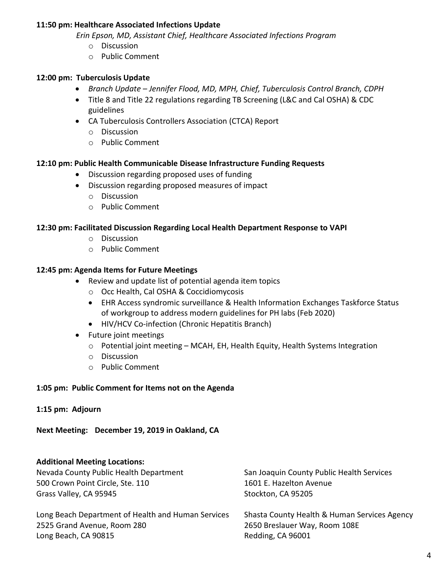### **11:50 pm: Healthcare Associated Infections Update**

 *Erin Epson, MD, Assistant Chief, Healthcare Associated Infections Program*

- o Discussion
- o Public Comment

### **12:00 pm: Tuberculosis Update**

- *Branch Update – Jennifer Flood, MD, MPH, Chief, Tuberculosis Control Branch, CDPH*
- Title 8 and Title 22 regulations regarding TB Screening (L&C and Cal OSHA) & CDC guidelines
- CA Tuberculosis Controllers Association (CTCA) Report
	- o Discussion
	- o Public Comment

#### **12:10 pm: Public Health Communicable Disease Infrastructure Funding Requests**

- Discussion regarding proposed uses of funding
- Discussion regarding proposed measures of impact
	- o Discussion
	- o Public Comment

#### **12:30 pm: Facilitated Discussion Regarding Local Health Department Response to VAPI**

- o Discussion
- o Public Comment

#### **12:45 pm: Agenda Items for Future Meetings**

- Review and update list of potential agenda item topics
	- o Occ Health, Cal OSHA & Coccidiomycosis
	- EHR Access syndromic surveillance & Health Information Exchanges Taskforce Status of workgroup to address modern guidelines for PH labs (Feb 2020)
	- HIV/HCV Co-infection (Chronic Hepatitis Branch)

Long Beach, CA 90815 Redding, CA 96001

- Future joint meetings
	- o Potential joint meeting MCAH, EH, Health Equity, Health Systems Integration
	- o Discussion
	- o Public Comment

#### **1:05 pm: Public Comment for Items not on the Agenda**

#### **1:15 pm: Adjourn**

**Next Meeting: December 19, 2019 in Oakland, CA**

#### **Additional Meeting Locations:**

| Nevada County Public Health Department             | San Joaquin County Public Health Services    |
|----------------------------------------------------|----------------------------------------------|
| 500 Crown Point Circle, Ste. 110                   | 1601 E. Hazelton Avenue                      |
| Grass Valley, CA 95945                             | Stockton, CA 95205                           |
| Long Beach Department of Health and Human Services | Shasta County Health & Human Services Agency |
| 2525 Grand Avenue, Room 280                        | 2650 Breslauer Way, Room 108E                |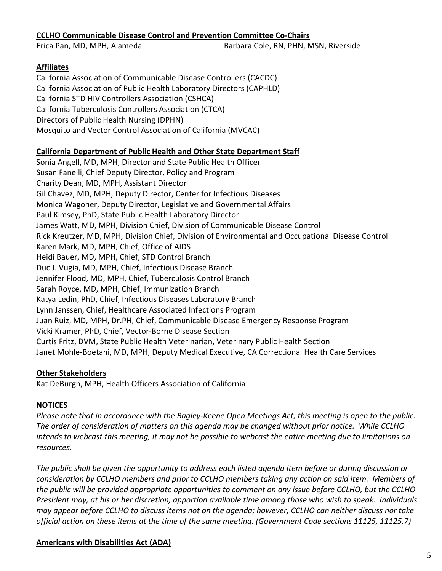## **CCLHO Communicable Disease Control and Prevention Committee Co-Chairs**

Erica Pan, MD, MPH, Alameda Barbara Cole, RN, PHN, MSN, Riverside

## **Affiliates**

California Association of Communicable Disease Controllers (CACDC) California Association of Public Health Laboratory Directors (CAPHLD) California STD HIV Controllers Association (CSHCA) California Tuberculosis Controllers Association (CTCA) Directors of Public Health Nursing (DPHN) Mosquito and Vector Control Association of California (MVCAC)

## **California Department of Public Health and Other State Department Staff**

Sonia Angell, MD, MPH, Director and State Public Health Officer Susan Fanelli, Chief Deputy Director, Policy and Program Charity Dean, MD, MPH, Assistant Director Gil Chavez, MD, MPH, Deputy Director, Center for Infectious Diseases Monica Wagoner, Deputy Director, Legislative and Governmental Affairs Paul Kimsey, PhD, State Public Health Laboratory Director James Watt, MD, MPH, Division Chief, Division of Communicable Disease Control Rick Kreutzer, MD, MPH, Division Chief, Division of Environmental and Occupational Disease Control Karen Mark, MD, MPH, Chief, Office of AIDS Heidi Bauer, MD, MPH, Chief, STD Control Branch Duc J. Vugia, MD, MPH, Chief, Infectious Disease Branch Jennifer Flood, MD, MPH, Chief, Tuberculosis Control Branch Sarah Royce, MD, MPH, Chief, Immunization Branch Katya Ledin, PhD, Chief, Infectious Diseases Laboratory Branch Lynn Janssen, Chief, Healthcare Associated Infections Program Juan Ruiz, MD, MPH, Dr.PH, Chief, Communicable Disease Emergency Response Program Vicki Kramer, PhD, Chief, Vector-Borne Disease Section Curtis Fritz, DVM, State Public Health Veterinarian, Veterinary Public Health Section Janet Mohle-Boetani, MD, MPH, Deputy Medical Executive, CA Correctional Health Care Services

## **Other Stakeholders**

Kat DeBurgh, MPH, Health Officers Association of California

# **NOTICES**

*Please note that in accordance with the Bagley-Keene Open Meetings Act, this meeting is open to the public. The order of consideration of matters on this agenda may be changed without prior notice. While CCLHO intends to webcast this meeting, it may not be possible to webcast the entire meeting due to limitations on resources.*

*The public shall be given the opportunity to address each listed agenda item before or during discussion or consideration by CCLHO members and prior to CCLHO members taking any action on said item. Members of the public will be provided appropriate opportunities to comment on any issue before CCLHO, but the CCLHO President may, at his or her discretion, apportion available time among those who wish to speak. Individuals may appear before CCLHO to discuss items not on the agenda; however, CCLHO can neither discuss nor take official action on these items at the time of the same meeting. (Government Code sections 11125, 11125.7)*

## **Americans with Disabilities Act (ADA)**